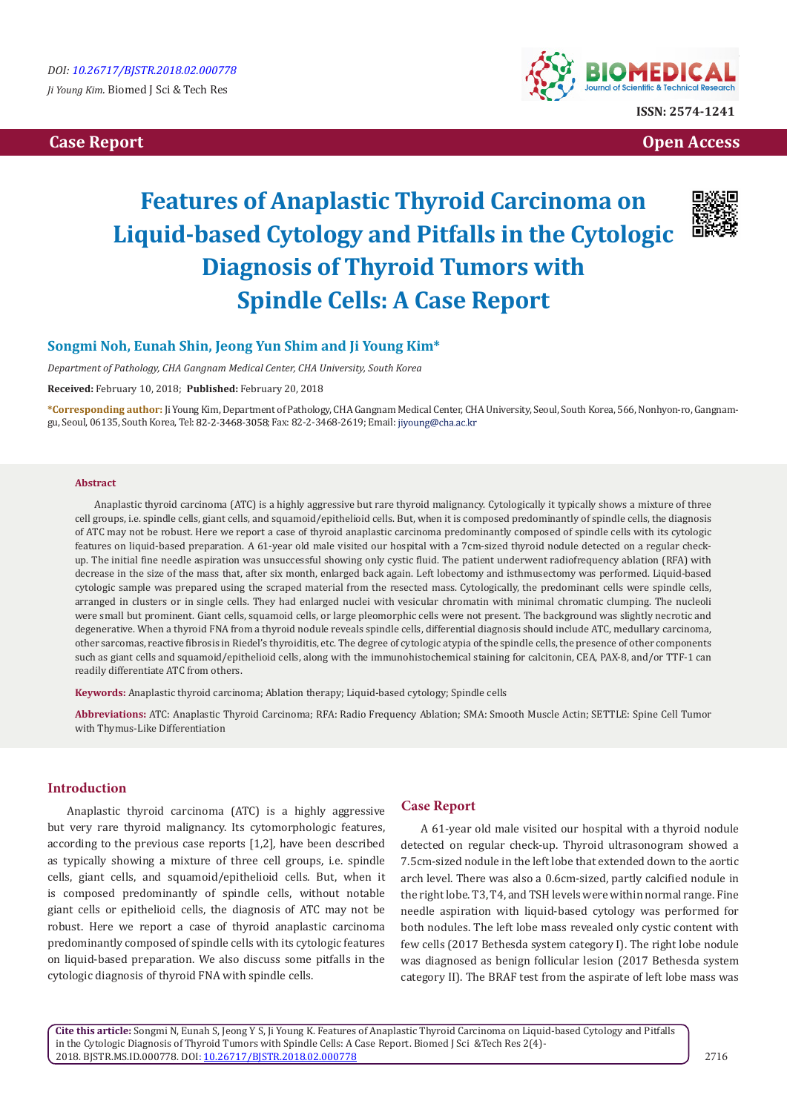# **Case Report Case Report Case Access**  $\alpha$  **Case Report** Case **Open Access Open Access**



# **Features of Anaplastic Thyroid Carcinoma on Liquid-based Cytology and Pitfalls in the Cytologic Diagnosis of Thyroid Tumors with Spindle Cells: A Case Report**



# **Songmi Noh, Eunah Shin, Jeong Yun Shim and Ji Young Kim\***

*Department of Pathology, CHA Gangnam Medical Center, CHA University, South Korea*

**Received:** February 10, 2018; **Published:** February 20, 2018

**\*Corresponding author:** Ji Young Kim, Department of Pathology, CHA Gangnam Medical Center, CHA University, Seoul, South Korea, 566, Nonhyon-ro, Gangnamgu, Seoul, 06135, South Korea, Tel: 82-2-3468-3058; Fax: 82-2-3468-2619; Email: jiyoung@cha.ac.kr

#### **Abstract**

Anaplastic thyroid carcinoma (ATC) is a highly aggressive but rare thyroid malignancy. Cytologically it typically shows a mixture of three cell groups, i.e. spindle cells, giant cells, and squamoid/epithelioid cells. But, when it is composed predominantly of spindle cells, the diagnosis of ATC may not be robust. Here we report a case of thyroid anaplastic carcinoma predominantly composed of spindle cells with its cytologic features on liquid-based preparation. A 61-year old male visited our hospital with a 7cm-sized thyroid nodule detected on a regular checkup. The initial fine needle aspiration was unsuccessful showing only cystic fluid. The patient underwent radiofrequency ablation (RFA) with decrease in the size of the mass that, after six month, enlarged back again. Left lobectomy and isthmusectomy was performed. Liquid-based cytologic sample was prepared using the scraped material from the resected mass. Cytologically, the predominant cells were spindle cells, arranged in clusters or in single cells. They had enlarged nuclei with vesicular chromatin with minimal chromatic clumping. The nucleoli were small but prominent. Giant cells, squamoid cells, or large pleomorphic cells were not present. The background was slightly necrotic and degenerative. When a thyroid FNA from a thyroid nodule reveals spindle cells, differential diagnosis should include ATC, medullary carcinoma, other sarcomas, reactive fibrosis in Riedel's thyroiditis, etc. The degree of cytologic atypia of the spindle cells, the presence of other components such as giant cells and squamoid/epithelioid cells, along with the immunohistochemical staining for calcitonin, CEA, PAX-8, and/or TTF-1 can readily differentiate ATC from others.

**Keywords:** Anaplastic thyroid carcinoma; Ablation therapy; Liquid-based cytology; Spindle cells

**Abbreviations:** ATC: Anaplastic Thyroid Carcinoma; RFA: Radio Frequency Ablation; SMA: Smooth Muscle Actin; SETTLE: Spine Cell Tumor with Thymus-Like Differentiation

## **Introduction**

Anaplastic thyroid carcinoma (ATC) is a highly aggressive but very rare thyroid malignancy. Its cytomorphologic features, according to the previous case reports [1,2], have been described as typically showing a mixture of three cell groups, i.e. spindle cells, giant cells, and squamoid/epithelioid cells. But, when it is composed predominantly of spindle cells, without notable giant cells or epithelioid cells, the diagnosis of ATC may not be robust. Here we report a case of thyroid anaplastic carcinoma predominantly composed of spindle cells with its cytologic features on liquid-based preparation. We also discuss some pitfalls in the cytologic diagnosis of thyroid FNA with spindle cells.

#### **Case Report**

A 61-year old male visited our hospital with a thyroid nodule detected on regular check-up. Thyroid ultrasonogram showed a 7.5cm-sized nodule in the left lobe that extended down to the aortic arch level. There was also a 0.6cm-sized, partly calcified nodule in the right lobe. T3, T4, and TSH levels were within normal range. Fine needle aspiration with liquid-based cytology was performed for both nodules. The left lobe mass revealed only cystic content with few cells (2017 Bethesda system category I). The right lobe nodule was diagnosed as benign follicular lesion (2017 Bethesda system category II). The BRAF test from the aspirate of left lobe mass was

**Cite this article:** Songmi N, Eunah S, Jeong Y S, Ji Young K. Features of Anaplastic Thyroid Carcinoma on Liquid-based Cytology and Pitfalls in the Cytologic Diagnosis of Thyroid Tumors with Spindle Cells: A Case Report. Biomed J Sci &Tech Res 2(4)- 2018. BJSTR.MS.ID.000778. DOI: [10.26717/BJSTR.2018.02.000778](http://dx.doi.org/10.26717/BJSTR.2018.02.000778)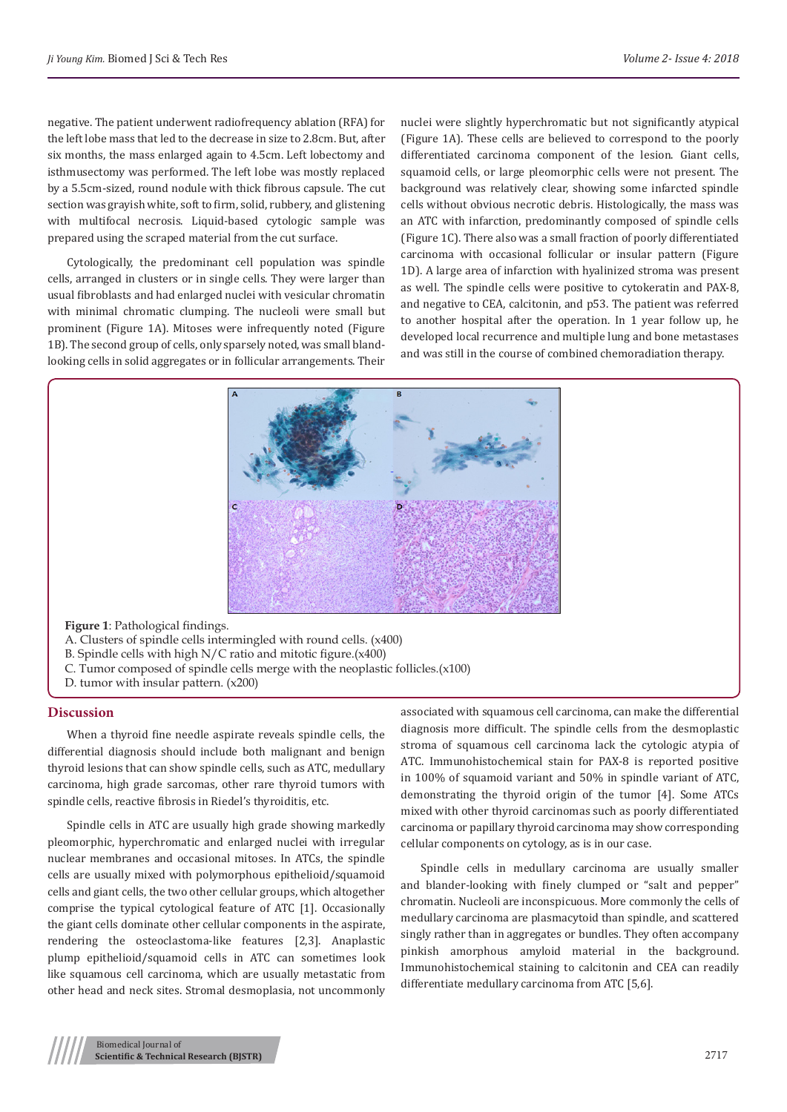negative. The patient underwent radiofrequency ablation (RFA) for the left lobe mass that led to the decrease in size to 2.8cm. But, after six months, the mass enlarged again to 4.5cm. Left lobectomy and isthmusectomy was performed. The left lobe was mostly replaced by a 5.5cm-sized, round nodule with thick fibrous capsule. The cut section was grayish white, soft to firm, solid, rubbery, and glistening with multifocal necrosis. Liquid-based cytologic sample was prepared using the scraped material from the cut surface.

Cytologically, the predominant cell population was spindle cells, arranged in clusters or in single cells. They were larger than usual fibroblasts and had enlarged nuclei with vesicular chromatin with minimal chromatic clumping. The nucleoli were small but prominent (Figure 1A). Mitoses were infrequently noted (Figure 1B). The second group of cells, only sparsely noted, was small blandlooking cells in solid aggregates or in follicular arrangements. Their nuclei were slightly hyperchromatic but not significantly atypical (Figure 1A). These cells are believed to correspond to the poorly differentiated carcinoma component of the lesion. Giant cells, squamoid cells, or large pleomorphic cells were not present. The background was relatively clear, showing some infarcted spindle cells without obvious necrotic debris. Histologically, the mass was an ATC with infarction, predominantly composed of spindle cells (Figure 1C). There also was a small fraction of poorly differentiated carcinoma with occasional follicular or insular pattern (Figure 1D). A large area of infarction with hyalinized stroma was present as well. The spindle cells were positive to cytokeratin and PAX-8, and negative to CEA, calcitonin, and p53. The patient was referred to another hospital after the operation. In 1 year follow up, he developed local recurrence and multiple lung and bone metastases and was still in the course of combined chemoradiation therapy.



**Figure 1**: Pathological findings.

- A. Clusters of spindle cells intermingled with round cells. (x400)
- B. Spindle cells with high N/C ratio and mitotic figure.(x400)
- C. Tumor composed of spindle cells merge with the neoplastic follicles.(x100)
- D. tumor with insular pattern. (x200)

## **Discussion**

When a thyroid fine needle aspirate reveals spindle cells, the differential diagnosis should include both malignant and benign thyroid lesions that can show spindle cells, such as ATC, medullary carcinoma, high grade sarcomas, other rare thyroid tumors with spindle cells, reactive fibrosis in Riedel's thyroiditis, etc.

Spindle cells in ATC are usually high grade showing markedly pleomorphic, hyperchromatic and enlarged nuclei with irregular nuclear membranes and occasional mitoses. In ATCs, the spindle cells are usually mixed with polymorphous epithelioid/squamoid cells and giant cells, the two other cellular groups, which altogether comprise the typical cytological feature of ATC [1]. Occasionally the giant cells dominate other cellular components in the aspirate, rendering the osteoclastoma-like features [2,3]. Anaplastic plump epithelioid/squamoid cells in ATC can sometimes look like squamous cell carcinoma, which are usually metastatic from other head and neck sites. Stromal desmoplasia, not uncommonly

associated with squamous cell carcinoma, can make the differential diagnosis more difficult. The spindle cells from the desmoplastic stroma of squamous cell carcinoma lack the cytologic atypia of ATC. Immunohistochemical stain for PAX-8 is reported positive in 100% of squamoid variant and 50% in spindle variant of ATC, demonstrating the thyroid origin of the tumor [4]. Some ATCs mixed with other thyroid carcinomas such as poorly differentiated carcinoma or papillary thyroid carcinoma may show corresponding cellular components on cytology, as is in our case.

Spindle cells in medullary carcinoma are usually smaller and blander-looking with finely clumped or "salt and pepper" chromatin. Nucleoli are inconspicuous. More commonly the cells of medullary carcinoma are plasmacytoid than spindle, and scattered singly rather than in aggregates or bundles. They often accompany pinkish amorphous amyloid material in the background. Immunohistochemical staining to calcitonin and CEA can readily differentiate medullary carcinoma from ATC [5,6].